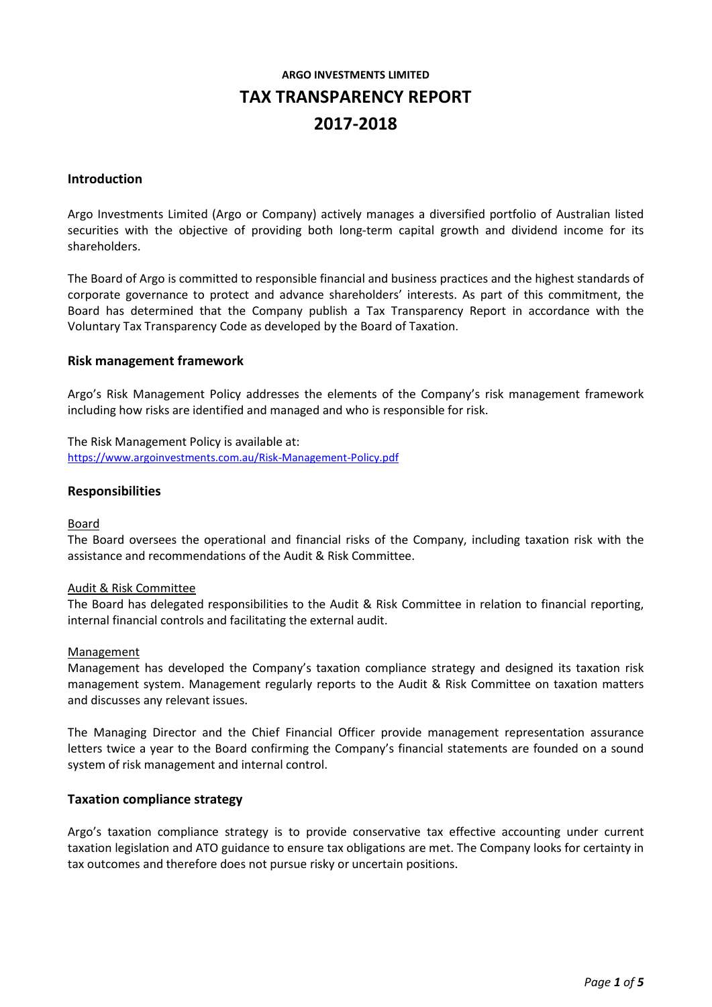# **ARGO INVESTMENTS LIMITED TAX TRANSPARENCY REPORT 2017-2018**

#### **Introduction**

Argo Investments Limited (Argo or Company) actively manages a diversified portfolio of Australian listed securities with the objective of providing both long-term capital growth and dividend income for its shareholders.

The Board of Argo is committed to responsible financial and business practices and the highest standards of corporate governance to protect and advance shareholders' interests. As part of this commitment, the Board has determined that the Company publish a Tax Transparency Report in accordance with the Voluntary Tax Transparency Code as developed by the Board of Taxation.

#### **Risk management framework**

Argo's Risk Management Policy addresses the elements of the Company's risk management framework including how risks are identified and managed and who is responsible for risk.

The Risk Management Policy is available at: [https://www.argoinvestments.com.au/Risk-Management-Policy.pdf](https://www.argoinvestments.com.au/assets/docs/asx-announcements/Risk-Management-Policy-May18-approved.pdf)

### **Responsibilities**

#### Board

The Board oversees the operational and financial risks of the Company, including taxation risk with the assistance and recommendations of the Audit & Risk Committee.

#### Audit & Risk Committee

The Board has delegated responsibilities to the Audit & Risk Committee in relation to financial reporting, internal financial controls and facilitating the external audit.

#### **Management**

Management has developed the Company's taxation compliance strategy and designed its taxation risk management system. Management regularly reports to the Audit & Risk Committee on taxation matters and discusses any relevant issues.

The Managing Director and the Chief Financial Officer provide management representation assurance letters twice a year to the Board confirming the Company's financial statements are founded on a sound system of risk management and internal control.

#### **Taxation compliance strategy**

Argo's taxation compliance strategy is to provide conservative tax effective accounting under current taxation legislation and ATO guidance to ensure tax obligations are met. The Company looks for certainty in tax outcomes and therefore does not pursue risky or uncertain positions.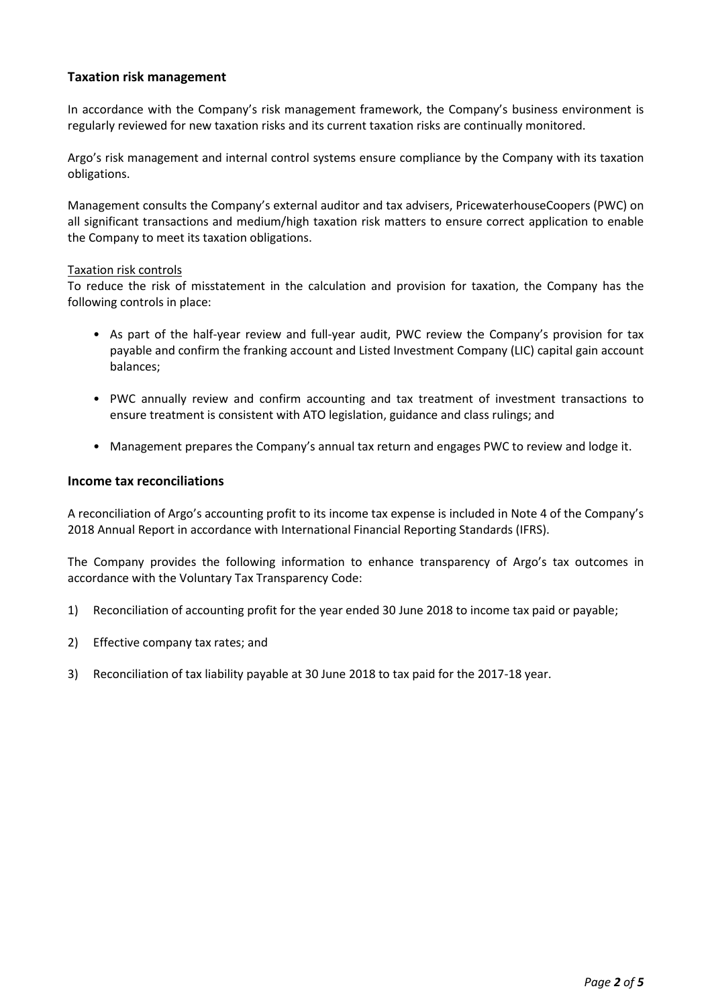## **Taxation risk management**

In accordance with the Company's risk management framework, the Company's business environment is regularly reviewed for new taxation risks and its current taxation risks are continually monitored.

Argo's risk management and internal control systems ensure compliance by the Company with its taxation obligations.

Management consults the Company's external auditor and tax advisers, PricewaterhouseCoopers (PWC) on all significant transactions and medium/high taxation risk matters to ensure correct application to enable the Company to meet its taxation obligations.

#### Taxation risk controls

To reduce the risk of misstatement in the calculation and provision for taxation, the Company has the following controls in place:

- As part of the half-year review and full-year audit, PWC review the Company's provision for tax payable and confirm the franking account and Listed Investment Company (LIC) capital gain account balances;
- PWC annually review and confirm accounting and tax treatment of investment transactions to ensure treatment is consistent with ATO legislation, guidance and class rulings; and
- Management prepares the Company's annual tax return and engages PWC to review and lodge it.

### **Income tax reconciliations**

A reconciliation of Argo's accounting profit to its income tax expense is included in Note 4 of the Company's 2018 Annual Report in accordance with International Financial Reporting Standards (IFRS).

The Company provides the following information to enhance transparency of Argo's tax outcomes in accordance with the Voluntary Tax Transparency Code:

- 1) Reconciliation of accounting profit for the year ended 30 June 2018 to income tax paid or payable;
- 2) Effective company tax rates; and
- 3) Reconciliation of tax liability payable at 30 June 2018 to tax paid for the 2017-18 year.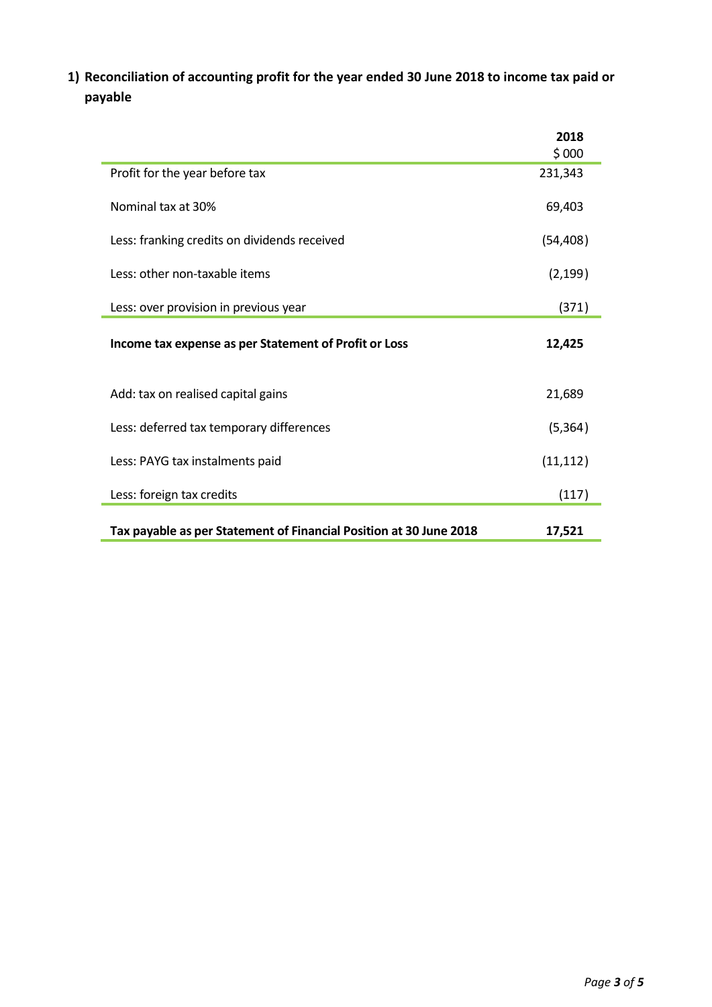**1) Reconciliation of accounting profit for the year ended 30 June 2018 to income tax paid or payable**

|                                                                    | 2018<br>\$000 |
|--------------------------------------------------------------------|---------------|
| Profit for the year before tax                                     | 231,343       |
| Nominal tax at 30%                                                 | 69,403        |
| Less: franking credits on dividends received                       | (54, 408)     |
| Less: other non-taxable items                                      | (2, 199)      |
| Less: over provision in previous year                              | (371)         |
| Income tax expense as per Statement of Profit or Loss              | 12,425        |
| Add: tax on realised capital gains                                 | 21,689        |
| Less: deferred tax temporary differences                           | (5, 364)      |
| Less: PAYG tax instalments paid                                    | (11, 112)     |
| Less: foreign tax credits                                          | (117)         |
| Tax payable as per Statement of Financial Position at 30 June 2018 | 17,521        |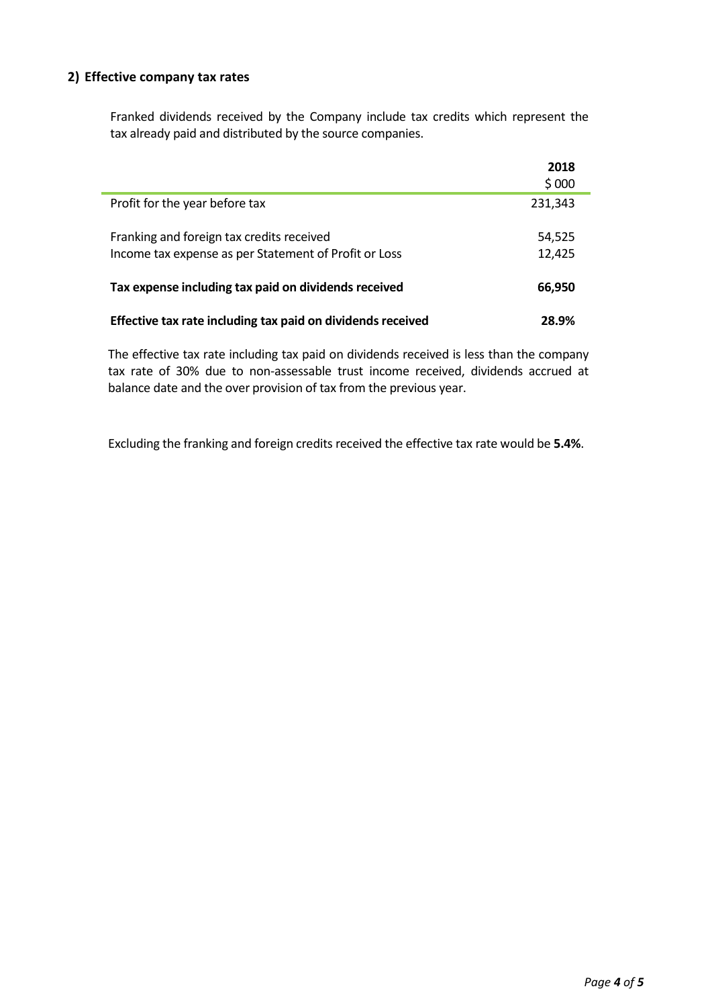## **2) Effective company tax rates**

Franked dividends received by the Company include tax credits which represent the tax already paid and distributed by the source companies.

|                                                             | 2018<br>\$000 |
|-------------------------------------------------------------|---------------|
| Profit for the year before tax                              | 231,343       |
| Franking and foreign tax credits received                   | 54,525        |
| Income tax expense as per Statement of Profit or Loss       | 12,425        |
| Tax expense including tax paid on dividends received        | 66,950        |
| Effective tax rate including tax paid on dividends received | 28.9%         |

The effective tax rate including tax paid on dividends received is less than the company tax rate of 30% due to non-assessable trust income received, dividends accrued at balance date and the over provision of tax from the previous year.

Excluding the franking and foreign credits received the effective tax rate would be **5.4%**.